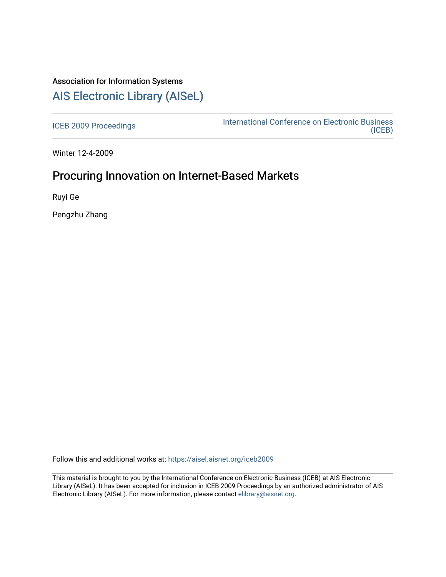# Association for Information Systems

# [AIS Electronic Library \(AISeL\)](https://aisel.aisnet.org/)

[ICEB 2009 Proceedings](https://aisel.aisnet.org/iceb2009) **International Conference on Electronic Business** [\(ICEB\)](https://aisel.aisnet.org/iceb) 

Winter 12-4-2009

## Procuring Innovation on Internet-Based Markets

Ruyi Ge

Pengzhu Zhang

Follow this and additional works at: [https://aisel.aisnet.org/iceb2009](https://aisel.aisnet.org/iceb2009?utm_source=aisel.aisnet.org%2Ficeb2009%2F23&utm_medium=PDF&utm_campaign=PDFCoverPages)

This material is brought to you by the International Conference on Electronic Business (ICEB) at AIS Electronic Library (AISeL). It has been accepted for inclusion in ICEB 2009 Proceedings by an authorized administrator of AIS Electronic Library (AISeL). For more information, please contact [elibrary@aisnet.org.](mailto:elibrary@aisnet.org%3E)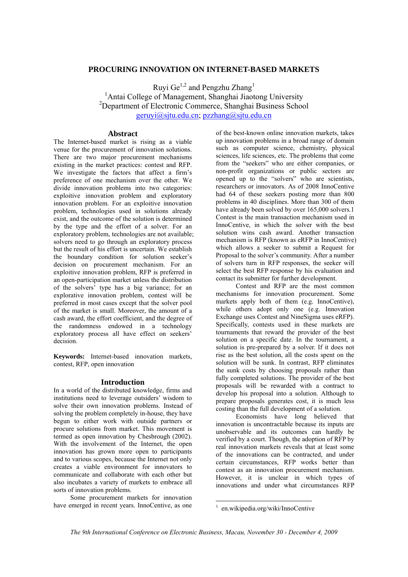#### **PROCURING INNOVATION ON INTERNET-BASED MARKETS**

Ruyi Ge<sup>1,2</sup> and Pengzhu Zhang<sup>1</sup> <sup>1</sup> Antai College of Management, Shanghai Jiaotong University 2 Department of Electronic Commerce, Shanghai Business School geruyi@sjtu.edu.cn; pzzhang@sjtu.edu.cn

### **Abstract**

The Internet-based market is rising as a viable venue for the procurement of innovation solutions. There are two major procurement mechanisms existing in the market practices: contest and RFP. We investigate the factors that affect a firm's preference of one mechanism over the other. We divide innovation problems into two categories: exploitive innovation problem and exploratory innovation problem. For an exploitive innovation problem, technologies used in solutions already exist, and the outcome of the solution is determined by the type and the effort of a solver. For an exploratory problem, technologies are not available; solvers need to go through an exploratory process but the result of his effort is uncertain. We establish the boundary condition for solution seeker's decision on procurement mechanism. For an exploitive innovation problem, RFP is preferred in an open-participation market unless the distribution of the solvers' type has a big variance; for an explorative innovation problem, contest will be preferred in most cases except that the solver pool of the market is small. Moreover, the amount of a cash award, the effort coefficient, and the degree of the randomness endowed in a technology exploratory process all have effect on seekers' decision.

**Keywords:** Internet-based innovation markets, contest, RFP, open innovation

#### **Introduction**

In a world of the distributed knowledge, firms and institutions need to leverage outsiders' wisdom to solve their own innovation problems. Instead of solving the problem completely in-house, they have begun to either work with outside partners or procure solutions from market. This movement is termed as open innovation by Chesbrough (2002). With the involvement of the Internet, the open innovation has grown more open to participants and to various scopes, because the Internet not only creates a viable environment for innovators to communicate and collaborate with each other but also incubates a variety of markets to embrace all sorts of innovation problems.

Some procurement markets for innovation have emerged in recent years. InnoCentive, as one of the best-known online innovation markets, takes up innovation problems in a broad range of domain such as computer science, chemistry, physical sciences, life sciences, etc. The problems that come from the "seekers" who are either companies, or non-profit organizations or public sectors are opened up to the "solvers" who are scientists, researchers or innovators. As of 2008 InnoCentive had 64 of these seekers posting more than 800 problems in 40 disciplines. More than 300 of them have already been solved by over  $165,000$  solvers.1 Contest is the main transaction mechanism used in InnoCentive, in which the solver with the best solution wins cash award. Another transaction mechanism is RFP (known as eRFP in InnoCentive) which allows a seeker to submit a Request for Proposal to the solver's community. After a number of solvers turn in RFP responses, the seeker will select the best RFP response by his evaluation and contact its submitter for further development.

Contest and RFP are the most common mechanisms for innovation procurement. Some markets apply both of them (e.g. InnoCentive), while others adopt only one (e.g. Innovation Exchange uses Contest and NineSigma uses eRFP). Specifically, contests used in these markets are tournaments that reward the provider of the best solution on a specific date. In the tournament, a solution is pre-prepared by a solver. If it does not rise as the best solution, all the costs spent on the solution will be sunk. In contrast, RFP eliminates the sunk costs by choosing proposals rather than fully completed solutions. The provider of the best proposals will be rewarded with a contract to develop his proposal into a solution. Although to prepare proposals generates cost, it is much less costing than the full development of a solution.

Economists have long believed that innovation is uncontractable because its inputs are unobservable and its outcomes can hardly be verified by a court. Though, the adoption of RFP by real innovation markets reveals that at least some of the innovations can be contracted, and under certain circumstances, RFP works better than contest as an innovation procurement mechanism. However, it is unclear in which types of innovations and under what circumstances RFP

<sup>-</sup>

<sup>1</sup> en.wikipedia.org/wiki/InnoCentive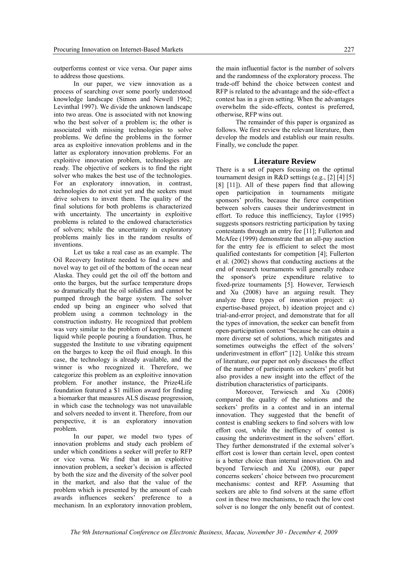outperforms contest or vice versa. Our paper aims to address those questions.

In our paper, we view innovation as a process of searching over some poorly understood knowledge landscape (Simon and Newell 1962; Levinthal 1997). We divide the unknown landscape into two areas. One is associated with not knowing who the best solver of a problem is; the other is associated with missing technologies to solve problems. We define the problems in the former area as exploitive innovation problems and in the latter as exploratory innovation problems. For an exploitive innovation problem, technologies are ready. The objective of seekers is to find the right solver who makes the best use of the technologies. For an exploratory innovation, in contrast, technologies do not exist yet and the seekers must drive solvers to invent them. The quality of the final solutions for both problems is characterized with uncertainty. The uncertainty in exploitive problems is related to the endowed characteristics of solvers; while the uncertainty in exploratory problems mainly lies in the random results of inventions.

Let us take a real case as an example. The Oil Recovery Institute needed to find a new and novel way to get oil of the bottom of the ocean near Alaska. They could get the oil off the bottom and onto the barges, but the surface temperature drops so dramatically that the oil solidifies and cannot be pumped through the barge system. The solver ended up being an engineer who solved that problem using a common technology in the construction industry. He recognized that problem was very similar to the problem of keeping cement liquid while people pouring a foundation. Thus, he suggested the Institute to use vibrating equipment on the barges to keep the oil fluid enough. In this case, the technology is already available, and the winner is who recognized it. Therefore, we categorize this problem as an exploitive innovation problem. For another instance, the Prize4Life foundation featured a \$1 million award for finding a biomarker that measures ALS disease progression, in which case the technology was not unavailable and solvers needed to invent it. Therefore, from our perspective, it is an exploratory innovation problem.

In our paper, we model two types of innovation problems and study each problem of under which conditions a seeker will prefer to RFP or vice versa. We find that in an exploitive innovation problem, a seeker's decision is affected by both the size and the diversity of the solver pool in the market, and also that the value of the problem which is presented by the amount of cash awards influences seekers' preference to a mechanism. In an exploratory innovation problem,

the main influential factor is the number of solvers and the randomness of the exploratory process. The trade-off behind the choice between contest and RFP is related to the advantage and the side-effect a contest has in a given setting. When the advantages overwhelm the side-effects, contest is preferred, otherwise, RFP wins out.

The remainder of this paper is organized as follows. We first review the relevant literature, then develop the models and establish our main results. Finally, we conclude the paper.

#### **Literature Review**

There is a set of papers focusing on the optimal tournament design in R&D settings (e.g., [2] [4] [5] [8] [11]). All of these papers find that allowing open participation in tournaments mitigate sponsors' profits, because the fierce competition between solvers causes their underinvestment in effort. To reduce this inefficiency, Taylor (1995) suggests sponsors restricting participation by taxing contestants through an entry fee [11]; Fullerton and McAfee (1999) demonstrate that an all-pay auction for the entry fee is efficient to select the most qualified contestants for competition [4]; Fullerton et al. (2002) shows that conducting auctions at the end of research tournaments will generally reduce the sponsor's prize expenditure relative to fixed-prize tournaments [5]. However, Terwiesch and Xu (2008) have an arguing result. They analyze three types of innovation project: a) expertise-based project, b) ideation project and c) trial-and-error project, and demonstrate that for all the types of innovation, the seeker can benefit from open-participation contest "because he can obtain a more diverse set of solutions, which mitigates and sometimes outweighs the effect of the solvers' underinvestment in effort" [12]. Unlike this stream of literature, our paper not only discusses the effect of the number of participants on seekers' profit but also provides a new insight into the effect of the distribution characteristics of participants.

Moreover, Terwiesch and Xu (2008) compared the quality of the solutions and the seekers' profits in a contest and in an internal innovation. They suggested that the benefit of contest is enabling seekers to find solvers with low effort cost, while the ineffiency of contest is causing the underinvestment in the solvers' effort. They further demonstrated if the external solver's effort cost is lower than certain level, open contest is a better choice than internal innovation. On and beyond Terwiesch and Xu (2008), our paper concerns seekers' choice between two procurement mechanisms: contest and RFP. Assuming that seekers are able to find solvers at the same effort cost in these two mechanisms, to reach the low cost solver is no longer the only benefit out of contest.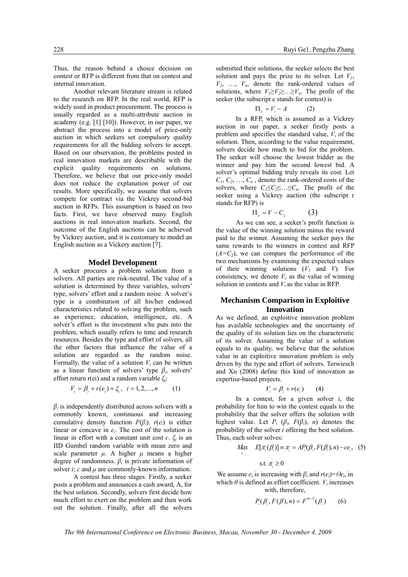Another relevant literature stream is related to the research on RFP. In the real world, RFP is widely used in product procurement. The process is usually regarded as a multi-attribute auction in academy (e.g. [1] [10]). However, in our paper, we abstract the process into a model of price-only auction in which seekers set compulsory quality requirements for all the bidding solvers to accept. Based on our observation, the problems posted in real innovation markets are describable with the explicit quality requirements on solutions. Therefore, we believe that our price-only model does not reduce the explanation power of our results. More specifically, we assume that solvers compete for contract via the Vickrey second-bid auction in RFPs. This assumption is based on two facts. First, we have observed many English auctions in real innovation markets. Second, the outcome of the English auctions can be achieved by Vickrey auction, and it is customary to model an English auction as a Vickery auction [7].

#### **Model Development**

A seeker procures a problem solution from n solvers. All parties are risk-neutral. The value of a solution is determined by three variables, solvers' type, solvers' effort and a random noise. A solver's type is a combination of all his/her endowed characteristics related to solving the problem, such as experience, education, intelligence, etc. A solver's effort is the investment s/he puts into the problem, which usually refers to time and research resources. Besides the type and effort of solvers, all the other factors that influence the value of a solution are regarded as the random noise. Formally, the value of a solution  $V_i$  can be written as a linear function of solvers' type  $\beta_i$ , solvers' effort return r(ei) and a random variable *ξi*:

$$
V_i = \beta_i + r(e_i) + \xi_i, \quad i = 1, 2, ..., n \tag{1}
$$

 $\beta$ <sup>*i*</sup> is independently distributed across solvers with a commonly known, continuous and increasing cumulative density function  $F(\beta_i)$ .  $r(e_i)$  is either linear or concave in *ei*. The cost of the solution is linear in effort with a constant unit cost  $c$ .  $\xi$  is an IID Gumbel random variable with mean zero and scale parameter  $\mu$ . A higher  $\mu$  means a higher degree of randomness.  $\beta_i$  is private information of solver *i*; *c* and *μ* are commonly-known information.

A contest has three stages. Firstly, a seeker posts a problem and announces a cash award, A, for the best solution. Secondly, solvers first decide how much effort to exert on the problem and then work out the solution. Finally, after all the solvers submitted their solutions, the seeker selects the best solution and pays the prize to its solver. Let  $V_1$ ,  $V_2$ , ...,  $V_n$ , denote the rank-ordered values of solutions, where  $V_1 \geq V_2 \geq \ldots \geq V_n$ . The profit of the seeker (the subscript c stands for contest) is

$$
\Pi_c = V_1 - A \tag{2}
$$

In a RFP, which is assumed as a Vickrey auction in our paper, a seeker firstly posts a problem and specifies the standard value, *V*, of the solution. Then, according to the value requirement, solvers decide how much to bid for the problem. The seeker will choose the lowest bidder as the winner and pay him the second lowest bid. A solver's optimal bidding truly reveals its cost. Let  $C_1, C_2, \ldots, C_n$ , denote the rank-ordered costs of the solvers, where  $C_1 \leq C_2 \leq \ldots \leq C_n$ . The profit of the seeker using a Vickrey auction (the subscript r stands for RFP) is

$$
\Pi_r = V - C_2 \tag{3}
$$

As we can see, a seeker's profit function is the value of the winning solution minus the reward paid to the winner. Assuming the seeker pays the same rewards to the winners in contest and RFP  $(A=C_2)$ , we can compare the performance of the two mechanisms by examining the expected values of their winning solutions  $(V_1$  and  $V)$ . For consistency, we denote  $V_c$  as the value of winning solution in contests and  $V_r$  as the value in RFP.

#### **Mechanism Comparison in Exploitive Innovation**

As we defined, an exploitive innovation problem has available technologies and the uncertainty of the quality of its solution lies on the characteristic of its solver. Assuming the value of a solution equals to its quality, we believe that the solution value in an exploitive innovation problem is only driven by the type and effort of solvers. Terwiesch and Xu (2008) define this kind of innovation as expertise-based projects.

$$
V_i = \beta_i + r(e_i) \qquad (4)
$$

In a contest, for a given solver i, the probability for him to win the contest equals to the probability that the solver offers the solution with highest value. Let  $P_i$  ( $\beta_i$ ,  $F(\beta_i)$ , *n*) denotes the probability of the solver *i* offering the best solution. Thus, each solver solves:

$$
Max \t E[\pi_i(\beta_i)] \equiv \pi_i = AP_i(\beta_i, F(\beta_i), n) - ce_i, \quad (5)
$$
  
s.t.  $\pi_i \ge 0$ 

We assume  $e_i$  is increasing with  $\beta_i$  and  $r(e_i) = \Theta e_i$ , in which  $\theta$  is defined as effort coefficient.  $V_i$  increases with, therefore,

$$
P_i(\beta_i, F(\beta), n) = F^{n-1}(\beta_i)
$$
 (6)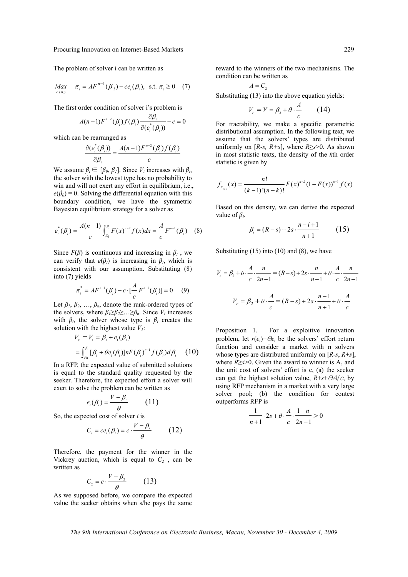The problem of solver i can be written as

$$
Max_{e_i(\beta_i)} \quad \pi_i = AF^{n-1}(\beta_i) - ce_i(\beta_i), \text{ s.t. } \pi_i \ge 0 \quad (7)
$$

The first order condition of solver i's problem is

$$
A(n-1)F^{n-2}(\beta_i)f(\beta_i)\frac{\partial \beta_i}{\partial(e_i^*(\beta_i))}-c=0
$$

which can be rearranged as

$$
\frac{\partial (e_i^*(\beta_i))}{\partial \beta_i} = \frac{A(n-1)F^{n-2}(\beta_i)f(\beta_i)}{c}
$$

We assume  $\beta_i \in [\beta_0, \beta_1]$ . Since  $V_i$  increases with  $\beta_i$ , the solver with the lowest type has no probability to win and will not exert any effort in equilibrium, i.e.,  $e(\beta_0) = 0$ . Solving the differential equation with this boundary condition, we have the symmetric Bayesian equilibrium strategy for a solver as

$$
e_i^*(\beta_i) = \frac{A(n-1)}{c} \int_{\beta_0}^{\beta_i} F(x)^{n-2} f(x) dx = \frac{A}{c} F^{n-1}(\beta_i) \quad (8)
$$

Since  $F(\beta)$  is continuous and increasing in  $\beta$ <sup>*i*</sup>, we can verify that  $e(\beta_i)$  is increasing in  $\beta_i$ , which is consistent with our assumption. Substituting (8) into (7) yields

$$
\pi_i^* = AF^{n-1}(\beta_i) - c \cdot \left[\frac{A}{c} F^{n-1}(\beta_i)\right] = 0 \quad (9)
$$

Let  $\beta_1, \beta_2, \ldots, \beta_n$ , denote the rank-ordered types of the solvers, where  $\beta_1 \geq \beta_2 \geq \ldots \geq \beta_n$ . Since  $V_i$  increases with  $\beta_i$ , the solver whose type is  $\beta_i$  creates the solution with the highest value  $V_1$ :

$$
V_c = V_1 = \beta_1 + e_1(\beta_1)
$$
  
=  $\int_{\beta_0}^{\beta_1} [\beta_i + \theta e_i(\beta_i)] n F(\beta_i)^{n-1} f(\beta_i) d\beta_i$  (10)

In a RFP, the expected value of submitted solutions is equal to the standard quality requested by the seeker. Therefore, the expected effort a solver will exert to solve the problem can be written as

$$
e_i(\beta_i) = \frac{V - \beta_i}{\theta} \qquad (11)
$$

So, the expected cost of solver *i* is

$$
C_i = ce_i(\beta_i) = c \cdot \frac{V - \beta_i}{\theta} \qquad (12)
$$

Therefore, the payment for the winner in the Vickrey auction, which is equal to  $C_2$ , can be written as

$$
C_2 = c \cdot \frac{V - \beta_2}{\theta} \qquad (13)
$$

As we supposed before, we compare the expected value the seeker obtains when s/he pays the same reward to the winners of the two mechanisms. The condition can be written as

$$
A = C_{2}
$$

Substituting (13) into the above equation yields:

$$
V_r = V = \beta_2 + \theta \cdot \frac{A}{c} \qquad (14)
$$

For tractability, we make a specific parametric distributional assumption. In the following text, we assume that the solvers' types are distributed uniformly on  $[R-s, R+s]$ , where  $R \ge s > 0$ . As shown in most statistic texts, the density of the *k*th order statistic is given by

$$
f_{X_{(k)}}(x) = \frac{n!}{(k-1)!(n-k)!} F(x)^{n-k} (1-F(x))^{k-1} f(x)
$$

Based on this density, we can derive the expected value of *βi*.

$$
\beta_i = (R - s) + 2s \cdot \frac{n - i + 1}{n + 1} \tag{15}
$$

Substituting  $(15)$  into  $(10)$  and  $(8)$ , we have

$$
V_c = \beta_1 + \theta \cdot \frac{A}{c} \cdot \frac{n}{2n-1} = (R - s) + 2s \cdot \frac{n}{n+1} + \theta \cdot \frac{A}{c} \cdot \frac{n}{2n-1}
$$

$$
V_r = \beta_2 + \theta \cdot \frac{A}{c} = (R - s) + 2s \cdot \frac{n-1}{n+1} + \theta \cdot \frac{A}{c}
$$

Proposition 1. For a exploitive innovation problem, let  $r(e_i) = \Theta e_i$  be the solvers' effort return function and consider a market with n solvers whose types are distributed uniformly on [*R*-*s*, *R*+*s*], where *R*≥*s*>0. Given the award to winner is A, and the unit cost of solvers' effort is c, (a) the seeker can get the highest solution value,  $R + s + \theta A/c$ , by using RFP mechanism in a market with a very large solver pool; (b) the condition for contest outperforms RFP is

$$
\frac{1}{n+1} \cdot 2s + \theta \cdot \frac{A}{c} \cdot \frac{1-n}{2n-1} > 0
$$

*The 9th International Conference on Electronic Business, Macau, November 30 - December 4, 2009*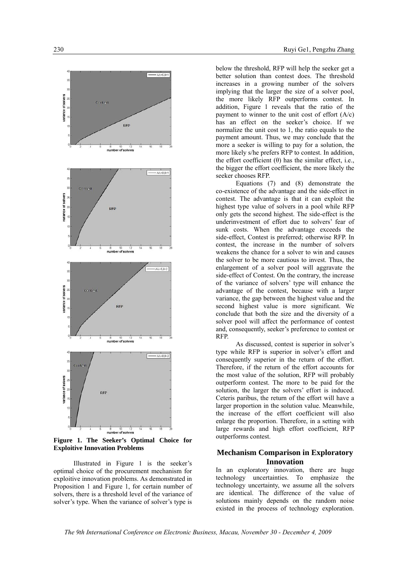

**Figure 1. The Seeker's Optimal Choice for Exploitive Innovation Problems** 

Illustrated in Figure 1 is the seeker's optimal choice of the procurement mechanism for exploitive innovation problems. As demonstrated in Proposition 1 and Figure 1, for certain number of solvers, there is a threshold level of the variance of solver's type. When the variance of solver's type is

below the threshold, RFP will help the seeker get a better solution than contest does. The threshold increases in a growing number of the solvers implying that the larger the size of a solver pool, the more likely RFP outperforms contest. In addition, Figure 1 reveals that the ratio of the payment to winner to the unit cost of effort  $(A/c)$ has an effect on the seeker's choice. If we normalize the unit cost to 1, the ratio equals to the payment amount. Thus, we may conclude that the more a seeker is willing to pay for a solution, the more likely s/he prefers RFP to contest. In addition, the effort coefficient (θ) has the similar effect, i.e., the bigger the effort coefficient, the more likely the seeker chooses RFP.

Equations (7) and (8) demonstrate the co-existence of the advantage and the side-effect in contest. The advantage is that it can exploit the highest type value of solvers in a pool while RFP only gets the second highest. The side-effect is the underinvestment of effort due to solvers' fear of sunk costs. When the advantage exceeds the side-effect, Contest is preferred; otherwise RFP. In contest, the increase in the number of solvers weakens the chance for a solver to win and causes the solver to be more cautious to invest. Thus, the enlargement of a solver pool will aggravate the side-effect of Contest. On the contrary, the increase of the variance of solvers' type will enhance the advantage of the contest, because with a larger variance, the gap between the highest value and the second highest value is more significant. We conclude that both the size and the diversity of a solver pool will affect the performance of contest and, consequently, seeker's preference to contest or RFP.

As discussed, contest is superior in solver's type while RFP is superior in solver's effort and consequently superior in the return of the effort. Therefore, if the return of the effort accounts for the most value of the solution, RFP will probably outperform contest. The more to be paid for the solution, the larger the solvers' effort is induced. Ceteris paribus, the return of the effort will have a larger proportion in the solution value. Meanwhile, the increase of the effort coefficient will also enlarge the proportion. Therefore, in a setting with large rewards and high effort coefficient, RFP outperforms contest.

### **Mechanism Comparison in Exploratory Innovation**

In an exploratory innovation, there are huge technology uncertainties. To emphasize the technology uncertainty, we assume all the solvers are identical. The difference of the value of solutions mainly depends on the random noise existed in the process of technology exploration.

*The 9th International Conference on Electronic Business, Macau, November 30 - December 4, 2009*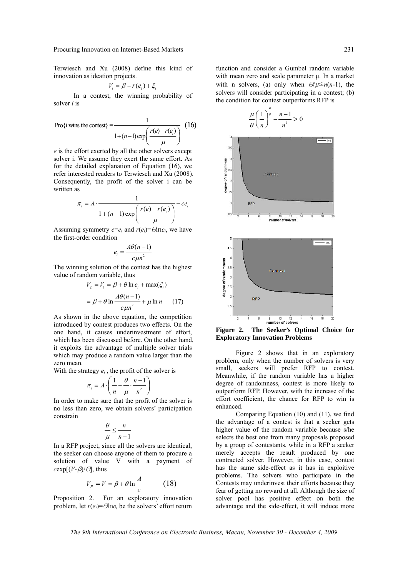Terwiesch and Xu (2008) define this kind of innovation as ideation projects.

$$
V_i = \beta + r(e_i) + \xi_i
$$

In a contest, the winning probability of solver *i* is

Pro{i wins the contest} = 
$$
\frac{1}{1 + (n-1)\exp\left(\frac{r(e) - r(e_i)}{\mu}\right)}
$$
 (16)

*e* is the effort exerted by all the other solvers except solver i. We assume they exert the same effort. As for the detailed explanation of Equation (16), we refer interested readers to Terwiesch and Xu (2008). Consequently, the profit of the solver i can be written as

$$
\pi_i = A \cdot \frac{1}{1 + (n-1) \exp\left(\frac{r(e) - r(e_i)}{\mu}\right)} - ce_i
$$

Assuming symmetry  $e = e_i$  and  $r(e_i) = \Theta \ln e_i$ , we have the first-order condition

$$
e_i = \frac{A\theta(n-1)}{c\mu n^2}
$$

The winning solution of the contest has the highest value of random variable, thus

$$
V_c = V_1 = \beta + \theta \ln e_i + \max(\xi_i)
$$
  
=  $\beta + \theta \ln \frac{A\theta(n-1)}{c\mu n^2} + \mu \ln n$  (17)

As shown in the above equation, the competition introduced by contest produces two effects. On the one hand, it causes underinvestment of effort, which has been discussed before. On the other hand, it exploits the advantage of multiple solver trials which may produce a random value larger than the zero mean.

With the strategy  $e_i$ , the profit of the solver is

$$
\pi_i = A \cdot \left( \frac{1}{n} - \frac{\theta}{\mu} \cdot \frac{n-1}{n^2} \right)
$$

In order to make sure that the profit of the solver is no less than zero, we obtain solvers' participation constrain

$$
\frac{\theta}{\mu} \le \frac{n}{n-1}
$$

In a RFP project, since all the solvers are identical, the seeker can choose anyone of them to procure a solution of value V with a payment of  $c \exp[(V - \beta)/\theta]$ , thus

$$
V_R = V = \beta + \theta \ln \frac{A}{c} \tag{18}
$$

Proposition 2. For an exploratory innovation problem, let  $r(e_i) = \Theta \ln e_i$  be the solvers' effort return

function and consider a Gumbel random variable with mean zero and scale parameter μ. In a market with n solvers, (a) only when  $\Theta/\mu \leq n(n-1)$ , the solvers will consider participating in a contest; (b) the condition for contest outperforms RFP is



**Figure 2. The Seeker's Optimal Choice for Exploratory Innovation Problems** 

Figure 2 shows that in an exploratory problem, only when the number of solvers is very small, seekers will prefer RFP to contest. Meanwhile, if the random variable has a higher degree of randomness, contest is more likely to outperform RFP. However, with the increase of the effort coefficient, the chance for RFP to win is enhanced.

Comparing Equation (10) and (11), we find the advantage of a contest is that a seeker gets higher value of the random variable because s/he selects the best one from many proposals proposed by a group of contestants, while in a RFP a seeker merely accepts the result produced by one contracted solver. However, in this case, contest has the same side-effect as it has in exploitive problems. The solvers who participate in the Contests may underinvest their efforts because they fear of getting no reward at all. Although the size of solver pool has positive effect on both the advantage and the side-effect, it will induce more